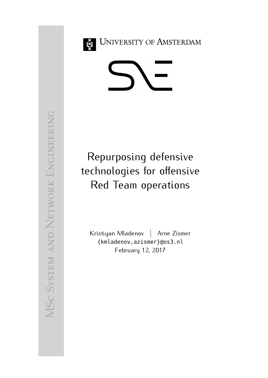<span id="page-0-0"></span>

**UNIVERSITY OF AMSTERDAM** 



Repurposing defensive technologies for offensive Red Team operations

Kristiyan Mladenov | Arne Zismer {kmladenov,azismer}@os3.nl February 12, 2017

MS  $\cup$ System and Network ENGINEERING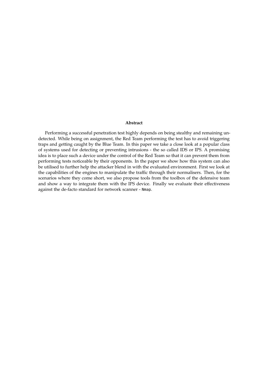#### **Abstract**

Performing a successful penetration test highly depends on being stealthy and remaining undetected. While being on assignment, the Red Team performing the test has to avoid triggering traps and getting caught by the Blue Team. In this paper we take a close look at a popular class of systems used for detecting or preventing intrusions - the so called IDS or IPS. A promising idea is to place such a device under the control of the Red Team so that it can prevent them from performing tests noticeable by their opponents. In the paper we show how this system can also be utilised to further help the attacker blend in with the evaluated environment. First we look at the capabilities of the engines to manipulate the traffic through their normalisers. Then, for the scenarios where they come short, we also propose tools from the toolbox of the defensive team and show a way to integrate them with the IPS device. Finally we evaluate their effectiveness against the de-facto standard for network scanner - Nmap.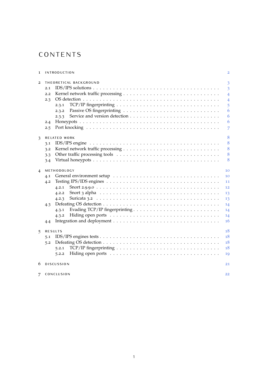## **CONTENTS**

| 1              | <b>INTRODUCTION</b>                                                                                           | $\overline{2}$ |
|----------------|---------------------------------------------------------------------------------------------------------------|----------------|
| $\overline{2}$ | THEORETICAL BACKGROUND                                                                                        | 3              |
|                | 2.1                                                                                                           | $\overline{3}$ |
|                | 2.2                                                                                                           | $\overline{4}$ |
|                | 2.3                                                                                                           | $\overline{4}$ |
|                | 2.3.1                                                                                                         | 5              |
|                | 2.3.2                                                                                                         | 6              |
|                | 2.3.3                                                                                                         | 6              |
|                | 2.4                                                                                                           | 6              |
|                | 2.5                                                                                                           | 7              |
|                |                                                                                                               |                |
| 3              | <b>RELATED WORK</b>                                                                                           | 8              |
|                | 3.1                                                                                                           | 8              |
|                | 3.2                                                                                                           | 8              |
|                | 3.3                                                                                                           | 8              |
|                | 3.4                                                                                                           | 8              |
| $\overline{4}$ | METHODOLOGY                                                                                                   | 10             |
|                | 4.1                                                                                                           | 10             |
|                | 4.2                                                                                                           | 11             |
|                | 4.2.1                                                                                                         | 12             |
|                | Snort 3 alpha $\dots \dots \dots \dots \dots \dots \dots \dots \dots \dots \dots \dots \dots \dots$<br>4.2.2  | 13             |
|                | 4.2.3                                                                                                         | 13             |
|                | 4.3                                                                                                           | 14             |
|                | 4.3.1                                                                                                         | 14             |
|                | 4.3.2                                                                                                         | 14             |
|                |                                                                                                               | 16             |
|                | 4.4                                                                                                           |                |
| 5              | <b>RESULTS</b>                                                                                                | 18             |
|                | 5.1                                                                                                           | 18             |
|                | 5.2                                                                                                           | 18             |
|                | TCP/IP fingerprinting $\ldots \ldots \ldots \ldots \ldots \ldots \ldots \ldots \ldots \ldots \ldots$<br>5.2.1 | 18             |
|                | 5.2.2                                                                                                         | 19             |
| 6              | <b>DISCUSSION</b>                                                                                             | 21             |
|                |                                                                                                               |                |
| 7              | CONCLUSION                                                                                                    | 22             |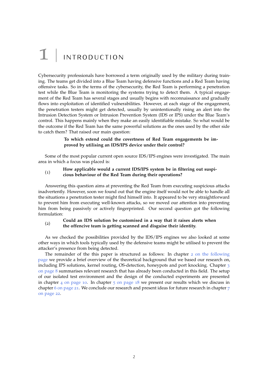## <span id="page-3-0"></span> $1$  | INTRODUCTION

Cybersecurity professionals have borrowed a term originally used by the military during training. The teams get divided into a Blue Team having defensive functions and a Red Team having offensive tasks. So in the terms of the cybersecurity, the Red Team is performing a penetration test while the Blue Team is monitoring the systems trying to detect them. A typical engagement of the Red Team has several stages and usually begins with reconnaissance and gradually flows into exploitation of identified vulnerabilities. However, at each stage of the engagement, the penetration testers might get detected, usually by unintentionally rising an alert into the Intrusion Detection System or Intrusion Prevention System (IDS or IPS) under the Blue Team's control. This happens mainly when they make an easily identifiable mistake. So what would be the outcome if the Red Team has the same powerful solutions as the ones used by the other side to catch them? That raised our main question:

#### **To which extend could the covertness of Red Team engagements be improved by utilising an IDS/IPS device under their control?**

Some of the most popular current open source IDS/IPS engines were investigated. The main area in which a focus was placed is:

#### (1) **How applicable would a current IDS/IPS system be in filtering out suspicious behaviour of the Red Team during their operations?**

Answering this question aims at preventing the Red Team from executing suspicious attacks inadvertently. However, soon we found out that the engine itself would not be able to handle all the situations a penetration tester might find himself into. It appeared to be very straightforward to prevent him from executing well-known attacks, so we moved our attention into preventing him from being passively or actively fingerprinted. Our second question got the following formulation:

#### (2) **Could an IDS solution be customised in a way that it raises alerts when the offencive team is getting scanned and disguise their identity.**

As we checked the possibilities provided by the IDS/IPS engines we also looked at some other ways in which tools typically used by the defensive teams might be utilised to prevent the attacker's presence from being detected.

The remainder of the this paper is structured as follows: In chapter 2 [on the following](#page-4-0) [page](#page-4-0) we provide a brief overview of the theoretical background that we based our research on, including IPS solutions, kernel routing, OS-detection, honeypots and port knocking. Chapter [3](#page-9-0) [on page](#page-9-0) 8 summarises relevant research that has already been conducted in this field. The setup of our isolated test environment and the design of the conducted experiments are presented in chapter 4 [on page](#page-19-0) 10. In chapter  $\frac{1}{2}$  on page 18 we present our results which we discuss in chapter 6 [on page](#page-22-0) 21. We conclude our research and present ideas for future research in chapter  $7$ [on page](#page-23-0) 22.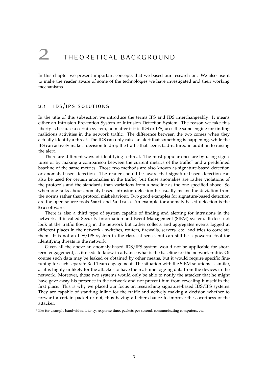## <span id="page-4-0"></span>2 THEORETICAL BACKGROUND

<span id="page-4-1"></span>In this chapter we present important concepts that we based our research on. We also use it to make the reader aware of some of the technologies we have investigated and their working mechanisms.

## 2.1 ids/ips solutions

In the title of this subsection we introduce the terms IPS and IDS interchangeably. It means either an Intrusion Prevention System or Intrusion Detection System. The reason we take this liberty is because a certain system, no matter if it is IDS or IPS, uses the same engine for finding malicious activities in the network traffic. The difference between the two comes when they actually identify a threat. The IDS can only raise an alert that something is happening, while the IPS can actively make a decision to drop the traffic that seems bad-natured in addition to raising the alert.

There are different ways of identifying a threat. The most popular ones are by using signa-tures or by making a comparison between the current metrics of the traffic<sup>[1](#page-0-0)</sup> and a predefined baseline of the same metrics. Those two methods are also known as signature-based detection or anomaly-based detection. The reader should be aware that signature-based detection can also be used for certain anomalies in the traffic, but those anomalies are rather violations of the protocols and the standards than variations from a baseline as the one specified above. So when one talks about anomaly-based intrusion detection he usually means the deviation from the norms rather than protocol misbehaviour. Two good examples for signature-based detection are the open-source tools Snort and Suricata. An example for anomaly-based detection is the Bro software.

There is also a third type of system capable of finding and alerting for intrusions in the network. It is called Security Information and Event Management (SIEM) system. It does not look at the traffic flowing in the network but rather collects and aggregates events logged at different places in the network - switches, routers, firewalls, servers, etc. and tries to correlate them. It is not an IDS/IPS system in the classical sense, but can still be a powerful tool for identifying threats in the network.

Given all the above an anomaly-based IDS/IPS system would not be applicable for shortterm engagement, as it needs to know in advance what is the baseline for the network traffic. Of course such data may be leaked or obtained by other means, but it would require specific finetuning for each separate Red Team engagement. The situation with the SIEM solutions is similar, as it is highly unlikely for the attacker to have the real-time logging data from the devices in the network. Moreover, those two systems would only be able to notify the attacker that he might have gave away his presence in the network and not prevent him from revealing himself in the first place. This is why we placed our focus on researching signature-based IDS/IPS systems. They are capable of standing inline for the traffic and actively making a decision whether to forward a certain packet or not, thus having a better chance to improve the covertness of the attacker.

<span id="page-4-2"></span><sup>&</sup>lt;sup>1</sup> like for example bandwidth, latency, response time, packets per second, communicating computers, etc.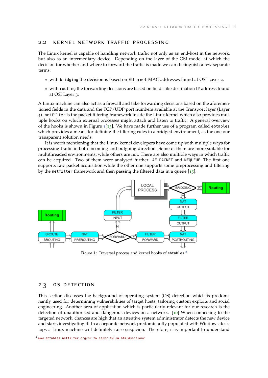### 2.2 kernel network traffic processing

The Linux kernel is capable of handling network traffic not only as an end-host in the network, but also as an intermediary device. Depending on the layer of the OSI model at which the decision for whether and where to forward the traffic is made we can distinguish a few separate terms:

- with bridging the decision is based on Ethernet MAC addresses found at OSI Layer 2.
- with routing the forwarding decisions are based on fields like destination IP address found at OSI Layer 3.

A Linux machine can also act as a firewall and take forwarding decisions based on the aforementioned fields in the data and the TCP/UDP port numbers available at the Transport layer (Layer 4). netfilter is the packet filtering framework inside the Linux kernel which also provides multiple hooks on which external processes might attach and listen to traffic. A general overview of the hooks is shown in Figure  $1\left[13\right]$  $1\left[13\right]$  $1\left[13\right]$  $1\left[13\right]$ . We have made further use of a program called ebtables which provides a means for defining the filtering rules in a bridged environment, as the one our transparent solution needs.

It is worth mentioning that the Linux kernel developers have come up with multiple ways for processing traffic in both incoming and outgoing direction. Some of them are more suitable for multithreaded environments, while others are not. There are also multiple ways in which traffic can be acquired. Two of them were analysed further: AF\_PACKET and NFQUEUE. The first one supports raw packet acquisition while the other one supports some preprocessing and filtering by the netfilter framework and then passing the filtered data in a queue  $[15]$  $[15]$  $[15]$ .

<span id="page-5-1"></span>

Figure 1: Traversal process and kernel hooks of ebtables<sup>[2](#page-0-0)</sup>

### <span id="page-5-0"></span>2.3 os detection

This section discusses the background of operating system (OS) detection which is predominantly used for determining vulnerabilities of target hosts, tailoring custom exploits and social engineering. Another area of application which is particularly relevant for our research is the detection of unauthorised and dangerous devices on a network. [[10](#page-25-2)] When connecting to the targeted network, chances are high that an attentive system administrator detects the new device and starts investigating it. In a corporate network predominantly populated with Windows desktops a Linux machine will definitely raise suspicion. Therefore, it is important to understand

<sup>2</sup> [www.ebtables.netfilter.org/br\\_fw\\_ia/br\\_fw\\_ia.html#section2](www.ebtables.netfilter.org/br_fw_ia/br_fw_ia.html#section2)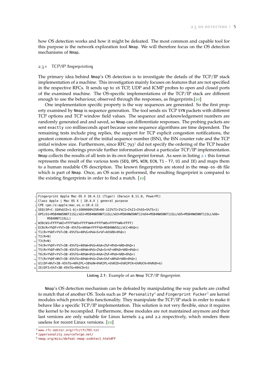how OS detection works and how it might be defeated. The most common and capable tool for this purpose is the network exploration tool Nmap. We will therefore focus on the OS detection mechanisms of Nmap.

#### <span id="page-6-0"></span>2.3.1 TCP/IP fingerprinting

The primary idea behind Nmap's OS detection is to investigate the details of the TCP/IP stack implementation of a machine. This investigation mainly focuses on features that are not specified in the respective RFCs. It sends up to 16 TCP, UDP and ICMP probes to open and closed ports of the examined machine. The OS-specific implementations of the TCP/IP stack are different enough to use the behaviour, observed through the responses, as fingerprints.[[10](#page-25-2)]

One implementation specific property is the way sequences are generated. So the first property examined by Nmap is sequence generation. The tool sends six TCP SYN packets with different TCP options and TCP window field values. The sequence and acknowledgement numbers are randomly generated and and saved, so Nmap can differentiate responses. The probing packets are sent exactly 100 milliseconds apart because some sequence algorithms are time dependent. The remaining tests include ping replies, the support for TCP explicit congestion notifications, the greatest common divisor of the initial sequence number (ISN), the ISN counter rate and the TCP initial window size. Furthermore, since RFC  $793<sup>3</sup>$  $793<sup>3</sup>$  $793<sup>3</sup>$  did not specify the ordering of the TCP header options, these orderings provide further information about a particular TCP/IP implementation. Nmap collects the results of all tests in its own fingerprint format. As seen in listing [2](#page-6-2).1 this format represents the result of the various tests (SEQ, OPS, WIN, ECN, T1 - T7, U1 and IE) and maps them to a human readable OS description. The known fingerprints are stored in the nmap-os-db file which is part of Nmap. Once, an OS scan is performed, the resulting fingerprint is compared to the existing fingerprints in order to find a match. [[10](#page-25-2)]

```
Fingerprint Apple Mac OS X 10.4.11 (Tiger) (Darwin 8.11.0, PowerPC)
```

```
Class Apple | Mac OS X | 10.4.X | general purpose
```

```
3 CPE cpe:/o:apple:mac_os_x:10.4.11
```

```
4 SEQ(SP=C-1DA%GCD=1-6|>1000000%ISR=D0-122%TI=I%CI=I%II=I%SS=S%TS=1)
```
5 OPS(O1=M5B4NW5NNT11SLL%O2=M5B4NW5NNT11SLL%O3=M5B4NW5NNT11%O4=M5B4NW5NNT11SLL%O5=M5B4NW5NNT11SLL%O6= M5B4NNT11SLL)

- 8 T1(R=Y%DF=Y%T=3B-45%TG=40%S=O%A=S+%F=AS%RD=0%Q=)
- $|$  T<sub>2</sub>(R=N)
- $_{10}$  T3(R=N)

```
11 T4(R=Y%DF=Y%T=3B-45%TG=40%W=0%S=A%A=Z%F=R%O=%RD=0%Q=)
```

```
12 T5(R=Y%DF=N%T=3B-45%TG=40%W=0%S=Z%A=S+%F=AR%O=%RD=0%Q=)
```
 $_{13}$  T6 (R=Y%DF=Y%T=3B-45%TG=40%W=0%S=A%A=Z%F=R%0=%RD=0%Q=)

 $_{16}$  IE(DFI=S%T=3B-45%TG=40%CD=S)

**Listing 2.1:** Example of an Nmap TCP/IP fingerprint.

Nmap's OS detection mechanism can be defeated by manipulating the way packets are crafted to match that of another OS. Tools such as IP Personality<sup>[4](#page-0-0)</sup> and Fingerprint Fucker<sup>[5](#page-0-0)</sup> are kernel modules which provide this functionality. They manipulate the TCP/IP stack in order to make it behave like a specific TCP/IP implementation. This solution is not very flexible, since it requires the kernel to be recompiled. Furthermore, these modules are not maintained anymore and their last versions are only suitable for Linux kernels 2.4 and 2.2 respectively, which renders them useless for recent Linux versions. [[10](#page-25-2)]

<sup>6</sup> WIN(W1=FFFF%W2=FFFF%W3=FFFF%W4=FFFF%W5=FFFF%W6=FFFF)

 $FCN(R=Y$DF=Y$T=3B-45$ % $TG=40$ %W=FFFF% $0=$ M5B4NW5SLL% $C=$ N% $0=$ )

<sup>14</sup> T7(R=Y%DF=N%T=3B-45%TG=40%W=0%S=Z%A=S%F=AR%O=%RD=0%Q=)

<sup>15</sup> U1(DF=N%T=3B-45%TG=40%IPL=38%UN=0%RIPL=G%RID=G%RIPCK=G%RUCK=0%RUD=G)

<span id="page-6-1"></span><sup>3</sup> <www.rfc-editor.org/rfc/rfc793.txt>

<sup>4</sup> <ippersonality.sourceforge.net/>

<sup>5</sup> <nmap.org/misc/defeat-nmap-osdetect.html#FF>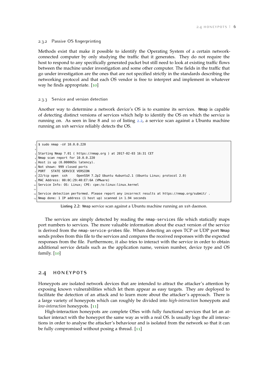#### 2.3.2 Passive OS fingerprinting

Methods exist that make it possible to identify the Operating System of a certain networkconnected computer by only studying the traffic that it generates. They do not require the host to respond to any specifically generated packet but still need to look at existing traffic flows between the machine under investigation and some other computer. The fields in the traffic that go under investigation are the ones that are not specified strictly in the standards describing the networking protocol and that each OS vendor is free to interpret and implement in whatever way he finds appropriate. [[10](#page-25-2)]

#### <span id="page-7-0"></span>2.3.3 Service and version detection

Another way to determine a network device's OS is to examine its services. Nmap is capable of detecting distinct versions of services which help to identify the OS on which the service is running on. As seen in line 8 and 10 of listing [2](#page-7-2).2, a service scan against a Ubuntu machine running an ssh service reliably detects the OS.

<span id="page-7-2"></span> \$ sudo nmap -sV 10.0.0.220 2 Starting Nmap 7.01 ( https://nmap.org ) at 2017-02-03 16:31 CET Nmap scan report for 10.0.0.220 Host is up (0.000065s latency). Not shown: 999 closed ports PORT STATE SERVICE VERSION 22/tcp open ssh OpenSSH 7.2p2 Ubuntu 4ubuntu2.1 (Ubuntu Linux; protocol 2.0) MAC Address: 00:0C:29:40:E7:6A (VMware) Service Info: OS: Linux; CPE: cpe:/o:linux:linux\_kernel 11 Service detection performed. Please report any incorrect results at https://nmap.org/submit/ . Nmap done: 1 IP address (1 host up) scanned in 1.94 seconds

**Listing 2.2:** Nmap service scan against a Ubuntu machine running an ssh daemon.

The services are simply detected by reading the nmap-services file which statically maps port numbers to services. The more valuable information about the exact version of the service is derived from the nmap-service-probes file. When detecting an open TCP or UDP port Nmap sends probes from this file to the services and compares the received responses with the expected responses from the file. Furthermore, it also tries to interact with the service in order to obtain additional service details such as the application name, version number, device type and OS family. [[10](#page-25-2)]

### <span id="page-7-1"></span>2.4 honeypots

Honeypots are isolated network devices that are intended to attract the attacker's attention by exposing known vulnerabilities which let them appear as easy targets. They are deployed to facilitate the detection of an attack and to learn more about the attacker's approach. There is a large variety of honeypots which can roughly be divided into *high-interaction* honeypots and *low-interaction* honeypots. [[11](#page-25-3)]

High-interaction honeypots are complete OSes with fully functional services that let an attacker interact with the honeypot the same way as with a real OS. Is usually logs the all interactions in order to analyse the attacker's behaviour and is isolated from the network so that it can be fully compromised without posing a thread. [[11](#page-25-3)]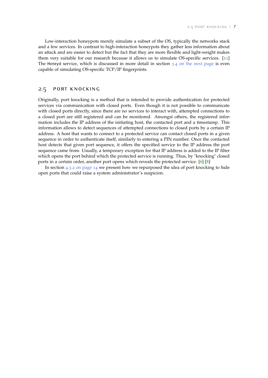Low-interaction honeypots merely simulate a subset of the OS, typically the networks stack and a few services. In contrast to high-interaction honeypots they gather less information about an attack and are easier to detect but the fact that they are more flexible and light-weight makes them very suitable for our research because it allows us to simulate OS-specific services. [[11](#page-25-3)] The Honeyd service, which is discussed in more detail in section 3.4 [on the next page](#page-9-4) is even capable of simulating OS-specific TCP/IP fingerprints.

#### <span id="page-8-0"></span>2.5 port knocking

Originally, port knocking is a method that is intended to provide authentication for protected services via communication with closed ports. Even though it is not possible to communicate with closed ports directly, since there are no services to interact with, attempted connections to a closed port are still registered and can be monitored. Amongst others, the registered information includes the IP address of the initiating host, the contacted port and a timestamp. This information allows to detect sequences of attempted connections to closed ports by a certain IP address. A host that wants to connect to a protected service can contact closed ports in a given sequence in order to authenticate itself, similarly to entering a PIN number. Once the contacted host detects that given port sequence, it offers the specified service to the IP address the port sequence came from. Usually, a temporary exception for that IP address is added to the IP filter which opens the port behind which the protected service is running. Thus, by "knocking" closed ports in a certain order, another port opens which reveals the protected service. [[6](#page-25-4)] [[8](#page-25-5)]

In section 4.3.2 [on page](#page-15-1) 14 we present how we repurposed the idea of port knocking to hide open ports that could raise a system administrator's suspicion.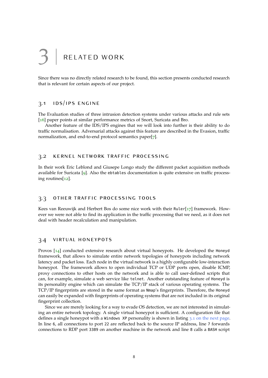# <span id="page-9-0"></span>RELATED WORK

<span id="page-9-1"></span>Since there was no directly related research to be found, this section presents conducted research that is relevant for certain aspects of our project.

## 3.1 ids/ips engine

The Evaluation studies of three intrusion detection systems under various attacks and rule sets [[16](#page-25-6)] paper points at similar performance metrics of Snort, Suricata and Bro.

Another feature of the IDS/IPS engines that we will look into further is their ability to do traffic normalisation. Adversarial attacks against this feature are described in the Evasion, traffic normalization, and end-to-end protocol semantics paper[[7](#page-25-7)].

#### <span id="page-9-2"></span>3.2 kernel network traffic processing

In their work Eric Leblond and Giusepe Longo study the different packet acquisition methods available for Suricata [[9](#page-25-8)]. Also the ebtables documentation is quite extensive on traffic processing routines[[12](#page-25-9)].

#### <span id="page-9-3"></span>3.3 other traffic processing tools

Kees van Reeuwijk and Herbert Bos do some nice work with their Ruler[[17](#page-25-10)] framework. However we were not able to find its application in the traffic processing that we need, as it does not deal with header recalculation and manipulation.

#### <span id="page-9-4"></span>3.4 virtual honeypots

Provos [[14](#page-25-11)] conducted extensive research about virtual honeypots. He developed the Honeyd framework, that allows to simulate entire network topologies of honeypots including network latency and packet loss. Each node in the virtual network is a highly configurable low-interaction honeypot. The framework allows to open individual TCP or UDP ports open, disable ICMP, proxy connections to other hosts on the network and is able to call user-defined scripts that can, for example, simulate a web service like telnet. Another outstanding feature of Honeyd is its personality engine which can simulate the TCP/IP stack of various operating systems. The TCP/IP fingerprints are stored in the same format as Nmap's fingerprints. Therefore, the Honeyd can easily be expanded with fingerprints of operating systems that are not included in its original fingerprint collection.

Since we are merely looking for a way to evade OS detection, we are not interested in simulating an entire network topology. A single virtual honeypot is sufficient. A configuration file that defines a single honeypot with a Windows XP personality is shown in listing 3.1 [on the next page.](#page-10-0) In line 6, all connections to port 22 are reflected back to the source IP address, line 7 forwards connections to RDP port 3389 on another machine in the network and line 8 calls a BASH script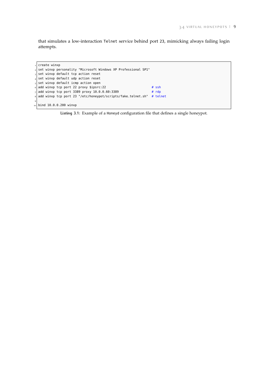that simulates a low-interaction Telnet service behind port 23, mimicking always failing login attempts.

<span id="page-10-0"></span> $c$  reate winxp  $_2$  set winxp personality "Microsoft Windows XP Professional SP1"  $3$  set winxp default tcp action reset  $_4$  set winxp default udp action reset  $\vert$  set winxp default icmp action open add winxp tcp port 22 proxy \$ipsrc:22  $#$  ssh add winxp tcp port 3389 proxy  $10.0.0.60:3389$  # rdp add winxp tcp port 23 "/etc/honeypot/scripts/fake\_telnet.sh" # telnet  $\overline{9}$ 10 bind 10.0.0.200 winxp

**Listing 3.1:** Example of a Honeyd configuration file that defines a single honeypot.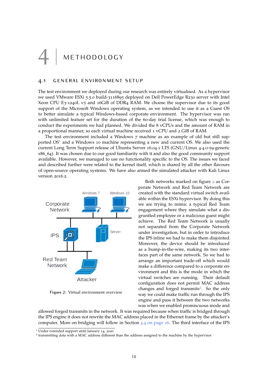<span id="page-11-0"></span>**METHODOLOGY** 

#### <span id="page-11-1"></span>4.1 general environment setup

The test environment we deployed during our research was entirely virtualised. As a hypervisor we used VMware ESXi 5.5.0 build-3116895 deployed on Dell PowerEdge R230 server with Intel Xeon CPU E3-1240L v5 and 16GiB of DDR4 RAM. We choose the supervisor due to its good support of the Microsoft Windows operating system, as we intended to use it as a Guest OS to better simulate a typical Windows-based corporate environment. The hypervisor was ran with unlimited feature set for the duration of the 60-day trial license, which was enough to conduct the experiments we had planned. We divided the 8 vCPUs and the amount of RAM in a proportional manner, so each virtual machine received 1 vCPU and 2 GiB of RAM.

The test environment included a Windows 7 machine as an example of old but still supported  $OS<sup>1</sup>$  $OS<sup>1</sup>$  $OS<sup>1</sup>$  and a Windows 10 machine representing a new and current OS. We also used the current Long Term Support release of Ubuntu Server 16.04.1 LTS (GNU/Linux 4.4.0-59-generic x86\_64). It was chosen due to our good familiarity with it and also the good community support available. However, we managed to use no functionality specific to the OS. The issues we faced and described further were related to the kernel itself, which is shared by all the other flavours of open-source operating systems. We have also armed the simulated attacker with Kali Linux version 2016.2.

<span id="page-11-2"></span>

**Figure 2:** Virtual environment overview

Both networks marked on figure [2](#page-11-2) as Corporate Network and Red Team Network are created with the standard virtual switch available within the ESXi hypervisor. By doing this we are trying to mimic a typical Red Team engagement where they simulate what a disgruntled employee or a malicious guest might achieve. The Red Team Network is usually not separated from the Corporate Network under investigation, but in order to introduce the IPS inline we had to make them disjointed. Moreover, the device should be introduced as a bump-in-the-wire, making its two interfaces part of the same network. So we had to arrange an important trade-off which would make a difference compared to a corporate environment and this is the mode in which the virtual switches are running. Their default configuration does not permit MAC address changes and forged transmits<sup>[2](#page-0-0)</sup>. So the only way we could make traffic run through the IPS engine and pass it between the two networks was when we enabled promiscuous mode and

allowed forged transmits in the network. It was required because when traffic is bridged through the IPS engine it does not rewrite the MAC address placed in the Ethernet frame by the attacker's computer. More on bridging will follow in Section 4.4 [on page](#page-17-0) 16. The third interface of the IPS

<sup>1</sup> Under extended support until January 14, 2020

<sup>&</sup>lt;sup>2</sup> transmitting data with a MAC address different than the address assigned to the machine by the hypervisor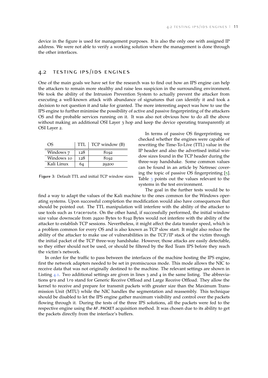<span id="page-12-0"></span>device in the figure is used for management purposes. It is also the only one with assigned IP address. We were not able to verify a working solution where the management is done through the other interfaces.

## 4.2 testing ips/ids engines

One of the main goals we have set for the research was to find out how an IPS engine can help the attackers to remain more stealthy and raise less suspicion in the surrounding environment. We took the ability of the Intrusion Prevention System to actually prevent the attacker from executing a well-known attack with abundance of signatures that can identify it and took a decision to not question it and take for granted. The more interesting aspect was how to use the IPS engine to further minimise the possibility of active and passive fingerprinting of the attackers OS and the probable services running on it. It was also not obvious how to do all the above without making an additional OSI Layer 3 hop and keep the device operating transparently at OSI Layer 2.

<span id="page-12-1"></span>

| OS         | TTL | TCP window (B) |
|------------|-----|----------------|
| Windows 7  | 128 | 8192           |
| Windows 10 | 128 | 8192           |
| Kali Linux | 64  | 29200          |

**Figure 3:** Default TTL and initial TCP window sizes

In terms of passive OS fingerprinting we checked whether the engines were capable of rewriting the Time-To-Live (TTL) value in the IP header and also the advertised initial window sizes found in the TCP header during the three-way handshake. Some common values can be found in an article by Netresec covering the topic of passive OS fingerprinting  $[5]$  $[5]$  $[5]$ . Table [3](#page-12-1) points out the values relevant to the systems in the test environment.

The goal in the further tests would be to find a way to adapt the values of the Kali machine to the ones common for the Windows operating systems. Upon successful completion the modification would also have consequences that should be pointed out. The TTL manipulation will interfere with the ability of the attacker to use tools such as traceroute. On the other hand, if successfully performed, the initial window size value downscale from 29200 Bytes to 8192 Bytes would not interfere with the ability of the attacker to establish TCP sessions. Nevertheless, it might affect the data transfer speed, which is a problem common for every OS and is also known as TCP slow start. It might also reduce the ability of the attacker to make use of vulnerabilities in the TCP/IP stack of the victim through the initial packet of the TCP three-way handshake. However, those attacks are easily detectable, so they either should not be used, or should be filtered by the Red Team IPS before they reach the victim's network.

In order for the traffic to pass between the interfaces of the machine hosting the IPS engine, first the network adapters needed to be set in promiscuous mode. This mode allows the NIC to receive data that was not originally destined to the machine. The relevant settings are shown in Listing  $4.1$  $4.1$ . Two additional settings are given in lines 3 and 4 in the same listing. The abbreviations gro and lro stand for Generic Receive Offload and Large Receive Offload. They allow the kernel to receive and prepare for transmit packets with greater size than the Maximum Transmission Unit (MTU) while the NIC handles the segmentation and reassembly. This technique should be disabled to let the IPS engine gather maximum visibility and control over the packets flowing through it. During the tests of the three IPS solutions, all the packets were fed to the respective engine using the AF\_PACKET acquisition method. It was chosen due to its ability to get the packets directly from the interface's buffers.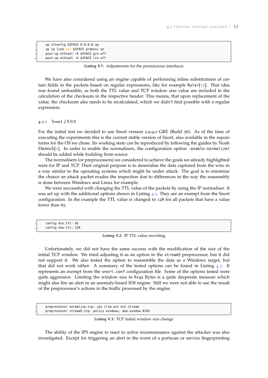<span id="page-13-1"></span>

| up ifconfig \$IFACE 0.0.0.0 up     |
|------------------------------------|
| up ip link set \$IFACE promisc on  |
| post-up ethtool -K \$IFACE gro off |
| post-up ethtool -K \$IFACE lro off |
|                                    |

**Listing 4.1:** Adjustments for the promiscious interfaces

We have also considered using an engine capable of performing inline substitutions of certain fields in the packets based on regular expressions, like for example Ruler $[17]$  $[17]$  $[17]$ . That idea was found unfeasible, as both the TTL value and TCP window size value are included in the calculation of the checksum in the respective header. This means, that upon replacement of the value, the checksum also needs to be recalculated, which we didn't find possible with a regular expression.

<span id="page-13-0"></span>4.2.1 Snort 2.9.9.0

For the initial test we decided to use Snort version 2.9.9.0 GRE (Build 56). As of the time of executing the experiments this is the current stable version of Snort, also available in the repositories for the OS we chose. Its working state can be reproduced by following the guides by Noah  $Dietrich[1]$  $Dietrich[1]$  $Dietrich[1]$ . In order to enable the normalizers, the configuration option -enable-normalizer should be added while building from source.

The normalisers (or preprocessors) we considered to achieve the goals we already highlighted were for IP and TCP. Their original purpose is to deserialise the data captured from the wire in a way similar to the operating systems which might be under attack. The goal is to minimise the chance an attack packet evades the inspection due to differences in the way the reassembly is done between Windows and Linux for example.

We were successful with changing the TTL value of the packets by using the IP normaliser. It was set up with the additional options shown in Listing [4](#page-13-2).2. They are an exempt from the Snort configuration. In the example the TTL value is changed to 128 for all packets that have a value lower than 65.

<span id="page-13-2"></span>config min\_ttl: 65 config new\_ttl: 128

**Listing 4.2:** IP TTL value rewriting

Unfortunately, we did not have the same success with the modification of the size of the initial TCP window. We tried adjusting it as an option in the stream5 preprocessor, but it did not support it. We also tested the option to reassemble the data as a Windows target, but that did not work either. A summary of the tested options can be found in Listing  $4.3$  $4.3$ . It represents an exempt from the snort.conf configuration file. Some of the options tested were quite aggressive. Limiting the window size to 8192 Bytes is a quite desperate measure which might also fire an alert in an anomaly-based IDS engine. Still we were not able to see the result of the preprocessor's actions in the traffic processed by the engine.

<span id="page-13-3"></span>preprocessor normalize\_tcp: ips trim\_win ecn stream <sup>2</sup> preprocessor stream5\_tcp: policy windows, max\_window 8192

**Listing 4.3:** TCP initial window size change

The ability of the IPS engine to react to active reconnaissance against the attacker was also investigated. Except for triggering an alert in the event of a portscan or service fingerprinting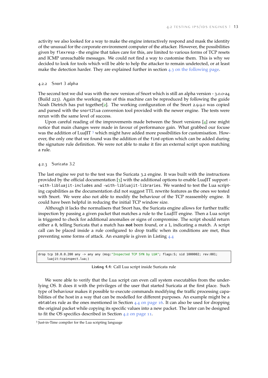activity we also looked for a way to make the engine interactively respond and mask the identity of the unusual for the corporate environment computer of the attacker. However, the possibilities given by flexresp - the engine that takes care for this, are limited to various forms of TCP resets and ICMP unreachable messages. We could not find a way to customise them. This is why we decided to look for tools which will be able to help the attacker to remain undetected, or at least make the detection harder. They are explained further in section 4.3 [on the following page.](#page-14-2)

#### <span id="page-14-0"></span>4.2.2 Snort 3 alpha

The second test we did was with the new version of Snort which is still an alpha version - 3.0.0-a4 (Build 223). Again the working state of this machine can be reproduced by following the guide Noah Dietrich has put together[[2](#page-25-14)]. The working configuration of the Snort 2.9.9.0 was copied and parsed with the snort2lua conversion tool provided with the newer engine. The tests were rerun with the same level of success.

Upon careful reading of the improvements made between the Snort versions  $[4]$  $[4]$  $[4]$  one might notice that main changes were made in favour of performance gain. What grabbed our focuse was the addition of LuaJIT  $3$  which might have added more possibilities for customisation. However, the only one that we found was the addition of the find option which can be added during the signature rule definition. We were not able to make it fire an external script upon matching a rule.

#### <span id="page-14-1"></span>4.2.3 Suricata 3.2

The last engine we put to the test was the Suricata 3.2 engine. It was built with the instructions provided by the official documentation  $\lceil 3 \rceil$  $\lceil 3 \rceil$  $\lceil 3 \rceil$  with the additional options to enable LuaJIT support --with-libluajit-includes and -with-libluajit-libraries. We wanted to test the Lua scripting capabilities as the documentation did not suggest TTL rewrite features as the ones we tested with Snort. We were also not able to modify the behaviour of the TCP reassembly engine. It could have been helpful in reducing the initial TCP window size.

Although it lacks the normalisers that Snort has, the Suricata engine allows for further traffic inspection by passing a given packet that matches a rule to the LuaJIT engine. Then a Lua script is triggered to check for additional anomalies or signs of compromise. The script should return either a 0, telling Suricata that a match has **not** been found, or a 1, indicating a match. A script call can be placed inside a rule configured to drop traffic when its conditions are met, thus preventing some forms of attack. An example is given in Listing [4](#page-14-3).4

<span id="page-14-3"></span>drop tcp 10.0.0.200 any -> any any (msg:"Inspected TCP SYN by LUA"; flags:S; sid 1000002; rev:001; luaiit:tcpinspect.lua:)

**Listing 4.4:** Call Lua script inside Suricata rule

We were able to verify that the Lua script can even call system executables from the underlying OS. It does it with the privileges of the user that started Suricata at the first place. Such type of behaviour makes it possible to execute commands modifying the traffic processing capabilities of the host in a way that can be modelled for different purposes. An example might be a ebtables rule as the ones mentioned in Section  $4.4$  [on page](#page-17-0) 16. It can also be used for dropping the original packet while copying its specific values into a new packet. The later can be designed to fit the OS specifics described in Section 4.2 [on page](#page-12-0) 11.

<span id="page-14-2"></span><sup>3</sup> Just-in-Time compiler for the Lua scripting language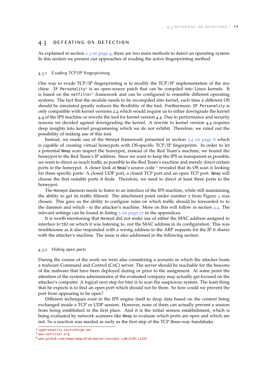### 4.3 defeating os detection

As explained in section 2.3 [on page](#page-5-0) 4, there are two main methods to detect an operating system. In this section we present our approaches of evading the active fingerprinting method.

#### <span id="page-15-0"></span>4.3.1 Evading TCP/IP fingerprinting

One way to evade TCP/IP fingerprinting is to modify the TCP/IP implementation of the ma-chine. IP Personality<sup>[4](#page-0-0)</sup> is an open-source patch that can be compiled into Linux kernels. It is based on the netfilter<sup>[5](#page-0-0)</sup> framework and can be configured to resemble different operating systems. The fact that the module needs to be recompiled into kernel, each time a different OS should be simulated greatly reduces the flexibility of the tool. Furthermore, IP Personality is only compatible with kernel versions 2.4 which would require us to either downgrade the kernel 4.4 of the IPS machine or rewrite the tool for kernel version 4.4. Due to performance and security reasons we decided against downgrading the kernel. A rewrite to kernel version 4.4 requires deep insights into kernel programming which we do not exhibit. Therefore, we ruled out the possibility of making use of this tool.

Instead, we made use of the Honeyd framework presented in section 3.4 [on page](#page-9-4) 8 which is capable of creating virtual honeypots with OS-specific TCP/IP fingerprints. In order to let a potential Nmap scan inspect the honeypot, instead of the Red Team's machine, we bound the honeypot to the Red Team's IP address. Since we want to keep the IPS as transparent as possible, we want to direct as much traffic as possible to the Red Team's machine and merely direct certain ports to the honeypot. A closer look at Nmap's source code <sup>[6](#page-0-0)</sup> revealed that its OS scan is looking for three specific ports: A closed UDP port, a closed TCP port and an open TCP port. Nmap will choose the first suitable ports it finds. Therefore, we need to direct at least three ports to the honeypot.

The Honeyd daemon needs to listen to an interface of the IPS machine, while still maintaining the ability to get its traffic filtered. The attachment point under number 2 from Figure [4](#page-17-1) was chosen. This gave us the ability to configure rules on which traffic should be forwarded to to the daemon and which - to the attacker's machine. More on this will follow in section [4](#page-17-0).4. The relevant settings can be found in listing  $\frac{3}{2}$  [on page](#page-28-0)  $\frac{27}{2}$  in the appendices.

It is worth mentioning that Honeyd did not make use of either the MAC address assigned to interface br192 on which it was listening to, nor the MAC address in its configuration. This was troublesome as it also responded with a wrong address to the ARP requests for the IP it shares with the attacker's machine. The issue is also addressed in the following section.

#### <span id="page-15-1"></span>4.3.2 Hiding open ports

During the course of the work we were also considering a scenario in which the attacker hosts a malware Command and Control (CnC) server. The server should be reachable for the beacons of the malware that have been deployed during or prior to the assignment. At some point the attention of the systems administrator at the evaluated company may actually get focused on the attacker's computer. A logical next step for him is to scan the suspicious system. The least thing that he expects is to find an open port which should not be there. So how could we prevent the port from appearing to be open?

Different techniques exist in the IPS engine itself to drop data based on the content being exchanged inside a TCP or UDP session. However, none of them can actually prevent a session from being established in the first place. And it is the initial session establishment, which is being evaluated by network scanners like Nmap to evaluate which ports are open and which are not. So a reaction was needed as early as the first step of the TCP three-way handshake.

<sup>4</sup> <ippersonality.sourceforge.net>

<sup>5</sup> <www.netfilter.org>

<sup>6</sup> <www.github.com/nmap/nmap/blob/master/osscan2.cc#L1139-L1225>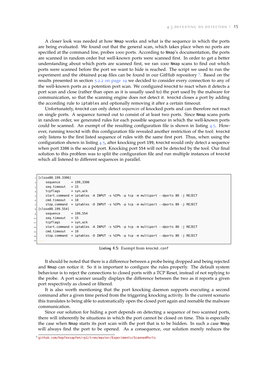A closer look was needed at how Nmap works and what is the sequence in which the ports are being evaluated. We found out that the general scan, which takes place when no ports are specified at the command line, probes 1000 ports. According to Nmap's documentation, the ports are scanned in random order but well-known ports were scanned first. In order to get a better understanding about which ports are scanned first, we ran 1000 Nmap scans to find out which ports were scanned before the port we want to hide is reached. The script we used to run the experiment and the obtained pcap files can be found in our GitHub repository [7](#page-0-0). Based on the results presented in section 5.2.2 [on page](#page-19-4) 19 we decided to consider every connection to any of the well-known ports as a potention port scan. We configured knockd to react when it detects a port scan and close (rather than open as it is usually used to) the port used by the malware for communication, so that the scanning engine does not detect it. knockd closes a port by adding the according rule to iptables and optionally removing it after a certain timeout.

Unfortunately, knockd can only detect *sequences* of knocked ports and can therefore not react on single ports. A sequence turned out to consist of at least two ports. Since Nmap scans ports in random order, we generated rules for each possible sequence in which the well-known ports could be scanned. An exempt of the resulting configuration file is shown in listing [4](#page-16-0).5. However, running knockd with this configuration file revealed another restriction of the tool: knockd only listens to the first listed sequence of rules with the same first port. Thus, when using the configuration shown in listing [4](#page-16-0).5, after knocking port <sup>199</sup>, knockd would only detect a sequence when port 3306 is the second port. Knocking port 554 will not be detected by the tool. Our final solution to this problem was to split the configuration file and run multiple instances of knockd which all listened to different sequences in parallel.

```
1 [close80_199_3306]
      sequence = 199,3306
      seq-timeout = 15
      tcpflags = syn,ack
      5 start_command = iptables -A INPUT -s %IP% -p tcp -m multiport --dports 80 -j REJECT
      cmd\_timeout = 10stop_{\text{command}} = \text{intables -D} INPUT -s %IP% -p tcp -m multiport --dports 80 -j REJECT
  8 [close80_199_554]
      sequence = 199.554
      seq-timeout = 15
      tcflags = syn,ack12 start_command = iptables -A INPUT -s %IP% -p tcp -m multiport --dports 80 -j REJECT
\begin{array}{rcl} \text{13} \end{array} cmd_timeout = 10
14 stop_command = iptables -D INPUT -s %IP% -p tcp -m multiport --dports 80 -j REJECT
15 ...
```
**Listing 4.5:** Exempt from knockd.conf

It should be noted that there is a difference between a probe being dropped and being rejected and Nmap can notice it. So it is important to configure the rules properly. The default system behaviour is to reject the connections to closed ports with a TCP Reset, instead of not replying to the probe. A port scanner usually displays the difference between the two as it reports a given port respectively as closed or filtered.

It is also worth mentioning that the port knocking daemon supports executing a second command after a given time period from the triggering knocking activity. In the current scenario this translates to being able to automatically open the closed port again and reenable the malware communication.

Since our solution for hiding a port depends on detecting a sequence of two scanned ports, there will inherently be situations in which the port cannot be closed on time. This is especially the case when Nmap starts its port scan with the port that is to be hidden. In such a case Nmap will always find the port to be opened. As a consequence, our solution merely reduces the

<sup>7</sup> <github.com/hopfenzapfen/rp1/tree/master/Experiments/ScannedPorts>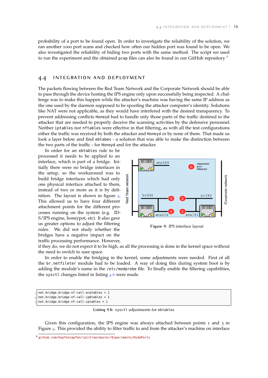probability of a port to be found open. In order to investigate the reliability of the solution, we ran another 1000 port scans and checked how often our hidden port was found to be open. We also investigated the reliability of hiding two ports with the same method. The script we used to run the experiment and the obtained pcap files can also be found in our GitHub repository  $\delta$ 

#### <span id="page-17-0"></span>4.4 integration and deployment

The packets flowing between the Red Team Network and the Corporate Network should be able to pass through the device hosting the IPS engine only upon successfully being inspected. A challenge was to make this happen while the attacker's machine was having the same IP address as the one used by the daemon supposed to be spoofing the attacker computer's identity. Solutions like NAT were not applicable, as they would have interfered with the desired transparency. To prevent addressing conflicts Honeyd had to handle only those parts of the traffic destined to the attacker that are needed to properly deceive the scanning activities by the defensive personnel. Neither iptables nor nftables were effective in that filtering, as with all the test configurations either the traffic was received by both the attacker and Honeyd or by none of them. That made us look a layer below and find ebtabes - a solution that was able to make the distinction between the two parts of the traffic - for Honeyd and for the attacker.

In order for an ebtables rule to be processed it needs to be applied to an interface, which is part of a bridge. Initially there were no bridge interfaces in the setup, so the workaround was to build bridge interfaces which had only one physical interface attached to them, instead of two or more as it is by definition. The layout is shown in figure [4](#page-17-1). This allowed us to have four different attachment points for the different processes running on the system (e.g. ID-S/IPS engine, honeypot, etc). It also gave us greater options to adjust the filtering rules. We did not study whether the bridges have a negative impact on the traffic processing performance. However,

<span id="page-17-1"></span>

**Figure 4:** IPS interface layout

if they do, we do not expect it to be high, as all the processing is done in the kernel space without the need to switch to user space.

In order to enable the bridging in the kernel, some adjustments were needed. First of all the br\_netfileter module had to be loaded. A way of doing this during system boot is by adding the module's name in the /etc/modprobe file. To finally enable the filtering capabilities, the sysctl changes listed in listing [4](#page-17-2).6 were made.

```
1 net.bridge.bridge-nf-call-arptables = 1
net.bridge.bridge-nf-call-ip6tables =
3 net.bridge.bridge-nf-call-iptables = 1
```
**Listing 4.6:** sysctl adjustments for ebtables

Given this configuration, the IPS engine was always attached between points 1 and 3 in Figure [4](#page-17-1). This provided the ability to filter traffic to and from the attacker's machine on interface

<sup>8</sup> <github.com/hopfenzapfen/rp1/tree/master/Experiments/HidePorts>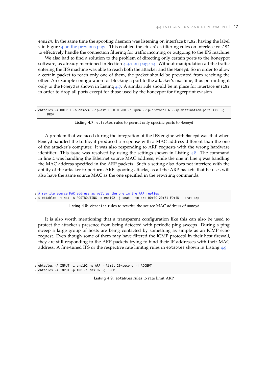ens224. In the same time the spoofing daemon was listening on interface br192, having the label 2 in Figure 4 [on the previous page.](#page-17-1) This enabled the ebtables filtering rules on interface ens192 to effectively handle the connection filtering for traffic incoming or outgoing to the IPS machine.

We also had to find a solution to the problem of directing only certain ports to the honeypot software, as already mentioned in Section 4.3.1 [on page](#page-15-0) 14. Without manipulation all the traffic entering the IPS machine was able to reach both the attacker and the Honeyd. So in order to allow a certain packet to reach only one of them, the packet should be prevented from reaching the other. An example configuration for blocking a port to the attacker's machine, thus permitting it only to the Honeyd is shown in Listing [4](#page-18-0).7. A similar rule should be in place for interface ens192 in order to drop all ports except for those used by the honeypot for fingerprint evasion.

<span id="page-18-0"></span>1 ebtables -A OUTPUT -o ens224 --ip-dst 10.0.0.200 -p ipv4 --ip-protocol 6 --ip-destination-port 3389 -j **DROF** 

**Listing 4.7:** ebtables rules to permit only specific ports to Honeyd

A problem that we faced during the integration of the IPS engine with Honeyd was that when Honeyd handled the traffic, it produced a response with a MAC address different than the one of the attacker's computer. It was also responding to ARP requests with the wrong hardware identifier. This issue was resolved by using the settings shown in Listing  $4.8$  $4.8$ . The command in line 2 was handling the Ethernet source MAC address, while the one in line 4 was handling the MAC address specified in the ARP packets. Such a setting also does not interfere with the ability of the attacker to perform ARP spoofing attacks, as all the ARP packets that he uses will also have the same source MAC as the one specified in the rewriting commands.

<span id="page-18-1"></span># rewrite source MAC address as well as the one in the ARP replies 2 \$ ebtables -t nat -A POSTROUTING -o ens192 -j snat --to-src 00:0C:29:71:FD:4D --snat-arp

| Listing 4.8: ebtables rules to rewrite the source MAC address of Honeyd |  |
|-------------------------------------------------------------------------|--|
|-------------------------------------------------------------------------|--|

It is also worth mentioning that a transparent configuration like this can also be used to protect the attacker's presence from being detected with periodic ping sweeps. During a ping sweep a large group of hosts are being contacted by something as simple as an ICMP echo request. Even though some of them may have filtered the ICMP protocol in their host firewall, they are still responding to the ARP packets trying to bind their IP addresses with their MAC address. A fine-tuned IPS or the respective rate limitng rules in ebtables shown in Listing [4](#page-18-2).9

```
1 ebtables -A INPUT -i ens192 -p ARP --limit 20/second -j ACCEPT
2 ebtables -A INPUT -p ARP -i ens192 -j DROP
```
**Listing 4.9:** ebtables rules to rate limit ARP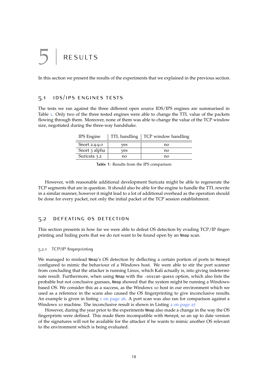# <span id="page-19-0"></span>**RESULTS**

<span id="page-19-1"></span>In this section we present the results of the experiments that we explained in the previous section.

## 5.1 ids/ips engines tests

<span id="page-19-5"></span>The tests we ran against the three different open source IDS/IPS engines are summarised in Table [1](#page-19-5). Only two of the three tested engines were able to change the TTL value of the packets flowing through them. Moreover, none of them was able to change the value of the TCP window size, negotiated during the three-way handshake.

| <b>IPS</b> Engine | TTL handling | TCP window handling |
|-------------------|--------------|---------------------|
| Snort 2.9.9.0     | ves          | no                  |
| Snort 3 alpha     | ves          | no                  |
| Suricata 3.2      | no           | no                  |

**Table 1:** Results from the IPS comparison

However, with reasonable additional development Suricata might be able to regenerate the TCP segments that are in question. It should also be able for the engine to handle the TTL rewrite in a similar manner, however it might lead to a lot of additional overhead as the operation should be done for every packet, not only the initial packet of the TCP session establishment.

### <span id="page-19-2"></span>5.2 defeating os detection

This section presents in how far we were able to defeat OS detection by evading TCP/IP fingerprinting and hiding ports that we do not want to be found open by an Nmap scan.

### <span id="page-19-3"></span>5.2.1 TCP/IP fingerprinting

We managed to mislead Nmap's OS detection by deflecting a certain portion of ports to Honeyd configured to mimic the behaviour of a Windows host. We were able to stir the port scanner from concluding that the attacker is running Linux, which Kali actually is, into giving indeterminate result. Furthermore, when using Nmap with the -osscan-guess option, which also lists the probable but not conclusive guesses, Nmap showed that the system might be running a Windowsbased OS. We consider this as a success, as the Windows 10 host in our environment which we used as a reference in the scans also caused the OS fingerprinting to give inconclusive results. An example is given in listing 1 [on page](#page-27-0) 26. A port scan was also ran for comparison against a Windows 10 machine. The inconclusive result is shown in Listing 2 [on page](#page-28-1)  $27$ 

<span id="page-19-4"></span>However, during the year prior to the experiments Nmap also made a change in the way the OS fingerprints were defined. This made them incompatible with Honeyd, so an up to date version of the signatures will not be available for the attacker if he wants to mimic another OS relevant to the environment which is being evaluated.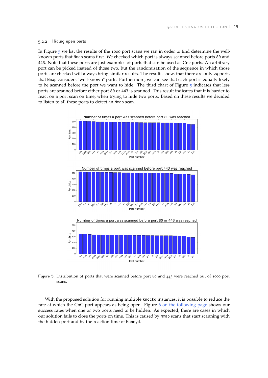#### 5.2.2 Hiding open ports

In Figure [5](#page-20-0) we list the results of the 1000 port scans we ran in order to find determine the wellknown ports that Nmap scans first. We checked which port is always scanned before ports 80 and 443. Note that these ports are just examples of ports that can be used as Cnc ports. An arbitrary port can be picked instead of those two, but the randomisation of the sequence in which those ports are checked will always bring similar results. The results show, that there are only 29 ports that Nmap considers "well-known" ports. Furthermore, we can see that each port is equally likely to be scanned before the port we want to hide. The third chart of Figure [5](#page-20-0) indicates that less ports are scanned before either port 80 or 443 is scanned. This result indicates that it is harder to react on a port scan on time, when trying to hide two ports. Based on these results we decided to listen to all these ports to detect an Nmap scan.

<span id="page-20-0"></span>

**Figure 5:** Distribution of ports that were scanned before port 80 and 443 were reached out of 1000 port scans.

With the proposed solution for running multiple knockd instances, it is possible to reduce the rate at which the CnC port appears as being open. Figure 6 [on the following page](#page-21-0) shows our success rates when one or two ports need to be hidden. As expected, there are cases in which our solution fails to close the ports on time. This is caused by Nmap scans that start scanning with the hidden port and by the reaction time of Honeyd.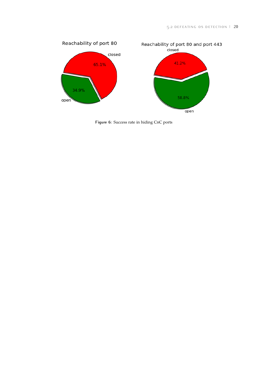<span id="page-21-0"></span>

**Figure 6:** Success rate in hiding CnC ports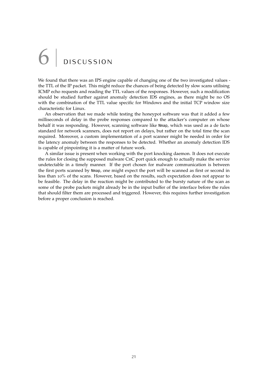# <span id="page-22-0"></span>D ISCUSSION

We found that there was an IPS engine capable of changing one of the two investigated values the TTL of the IP packet. This might reduce the chances of being detected by slow scans utilising ICMP echo requests and reading the TTL values of the responses. However, such a modification should be studied further against anomaly detection IDS engines, as there might be no OS with the combination of the TTL value specific for Windows and the initial TCP window size characteristic for Linux.

An observation that we made while testing the honeypot software was that it added a few milliseconds of delay in the probe responses compared to the attacker's computer on whose behalf it was responding. However, scanning software like Nmap, which was used as a de facto standard for network scanners, does not report on delays, but rather on the total time the scan required. Moreover, a custom implementation of a port scanner might be needed in order for the latency anomaly between the responses to be detected. Whether an anomaly detection IDS is capable of pinpointing it is a matter of future work.

A similar issue is present when working with the port knocking daemon. It does not execute the rules for closing the supposed malware CnC port quick enough to actually make the service undetectable in a timely manner. If the port chosen for malware communication is between the first ports scanned by Nmap, one might expect the port will be scanned as first or second in less than 10% of the scans. However, based on the results, such expectation does not appear to be feasible. The delay in the reaction might be contributed to the bursty nature of the scan as some of the probe packets might already be in the input buffer of the interface before the rules that should filter them are processed and triggered. However, this requires further investigation before a proper conclusion is reached.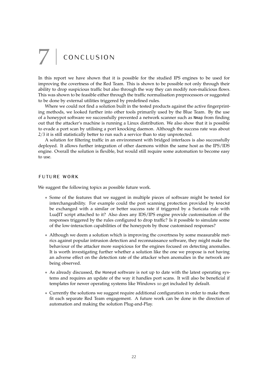# <span id="page-23-0"></span> $7$  CONCLUSION

In this report we have shown that it is possible for the studied IPS engines to be used for improving the covertness of the Red Team. This is shown to be possible not only through their ability to drop suspicious traffic but also through the way they can modify non-malicious flows. This was shown to be feasible either through the traffic normalisation preprocessors or suggested to be done by external utilities triggered by predefined rules.

Where we could not find a solution built in the tested products against the active fingerprinting methods, we looked further into other tools primarily used by the Blue Team. By the use of a honeypot software we successfully prevented a network scanner such as Nmap from finding out that the attacker's machine is running a Linux distribution. We also show that it is possible to evade a port scan by utilising a port knocking daemon. Although the success rate was about 2/3 it is still statistically better to run such a service than to stay unprotected.

A solution for filtering traffic in an environment with bridged interfaces is also successfully deployed. It allows further integration of other daemons within the same host as the IPS/IDS engine. Overall the solution is flexible, but would still require some automation to become easy to use.

#### future work

We suggest the following topics as possible future work.

- Some of the features that we suggest in multiple pieces of software might be tested for interchangeability. For example could the port scanning protection provided by knockd be exchanged with a similar or better success rate if triggered by a Suricata rule with LuaJIT script attached to it? Also does any IDS/IPS engine provide customisation of the responses triggered by the rules configured to drop traffic? Is it possible to simulate some of the low-interaction capabilities of the honeypots by those customised responses?
- Although we deem a solution which is improving the covertness by some measurable metrics against popular intrusion detection and reconnaissance software, they might make the behaviour of the attacker more suspicious for the engines focused on detecting anomalies. It is worth investigating further whether a solution like the one we propose is not having an adverse effect on the detection rate of the attacker when anomalies in the network are being observed.
- As already discussed, the Honeyd software is not up to date with the latest operating systems and requires an update of the way it handles port scans. It will also be beneficial if templates for newer operating systems like Windows 10 get included by default.
- Currently the solutions we suggest require additional configuration in order to make them fit each separate Red Team engagement. A future work can be done in the direction of automation and making the solution Plug-and-Play.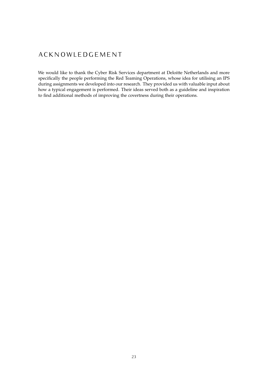## **A C K N O W L E D G E M E N T**

We would like to thank the Cyber Risk Services department at Deloitte Netherlands and more specifically the people performing the Red Teaming Operations, whose idea for utilising an IPS during assignments we developed into our research. They provided us with valuable input about how a typical engagement is performed. Their ideas served both as a guideline and inspiration to find additional methods of improving the covertness during their operations.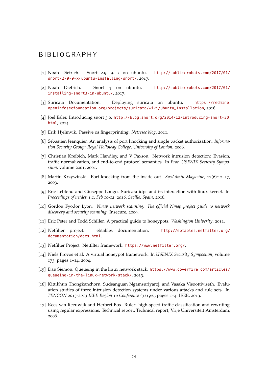## B I B L I O G R A P H Y

- <span id="page-25-13"></span>[1] Noah Dietrich. Snort 2.9. 9. x on ubuntu. [http://sublimerobots.com/2017/01/](http://sublimerobots.com/2017/01/snort-2-9-9-x-ubuntu-installing-snort/) [snort-2-9-9-x-ubuntu-installing-snort/](http://sublimerobots.com/2017/01/snort-2-9-9-x-ubuntu-installing-snort/), 2017.
- <span id="page-25-14"></span>[2] Noah Dietrich. Snort 3 on ubuntu. [http://sublimerobots.com/2017/01/](http://sublimerobots.com/2017/01/installing-snort3-in-ubuntu/) [installing-snort3-in-ubuntu/](http://sublimerobots.com/2017/01/installing-snort3-in-ubuntu/), 2017.
- <span id="page-25-16"></span>[3] Suricata Documentation. Deploying suricata on ubuntu. [https://redmine.](https://redmine.openinfosecfoundation.org/projects/suricata/wiki/Ubuntu_Installation) [openinfosecfoundation.org/projects/suricata/wiki/Ubuntu\\_Installation](https://redmine.openinfosecfoundation.org/projects/suricata/wiki/Ubuntu_Installation), 2016.
- <span id="page-25-15"></span>[4] Joel Esler. Introducing snort 3.0. [http://blog.snort.org/2014/12/introducing-snort-30.](http://blog.snort.org/2014/12/introducing-snort-30.html) [html](http://blog.snort.org/2014/12/introducing-snort-30.html), 2014.
- <span id="page-25-12"></span>[5] Erik Hjelmvik. Passive os fingerprinting. *Netresec blog*, 2011.
- <span id="page-25-4"></span>[6] Sebastien Jeanquier. An analysis of port knocking and single packet authorization. *Information Security Group: Royal Holloway College, University of London*, 2006.
- <span id="page-25-7"></span>[7] Christian Kreibich, Mark Handley, and V Paxson. Network intrusion detection: Evasion, traffic normalization, and end-to-end protocol semantics. In *Proc. USENIX Security Symposium*, volume 2001, 2001.
- <span id="page-25-5"></span>[8] Martin Krzywinski. Port knocking from the inside out. *SysAdmin Magazine*, 12(6):12–17, 2003.
- <span id="page-25-8"></span>[9] Eric Leblond and Giuseppe Longo. Suricata idps and its interaction with linux kernel. In *Proceedings of netdev 1.1, Feb 10-12, 2016, Seville, Spain*, 2016.
- <span id="page-25-2"></span>[10] Gordon Fyodor Lyon. *Nmap network scanning: The official Nmap project guide to network discovery and security scanning*. Insecure, 2009.
- <span id="page-25-3"></span>[11] Eric Peter and Todd Schiller. A practical guide to honeypots. *Washington Univerity*, 2011.
- <span id="page-25-9"></span>[12] Netfilter project. ebtables documentation. [http://ebtables.netfilter.org/](http://ebtables.netfilter.org/documentation/docs.html) [documentation/docs.html](http://ebtables.netfilter.org/documentation/docs.html).
- <span id="page-25-0"></span>[13] Netfilter Project. Netfilter framework. <https://www.netfilter.org/>.
- <span id="page-25-11"></span>[14] Niels Provos et al. A virtual honeypot framework. In *USENIX Security Symposium*, volume 173, pages 1–14, 2004.
- <span id="page-25-1"></span>[15] Dan Siemon. Queueing in the linux network stack. [https://www.coverfire.com/articles/](https://www.coverfire.com/articles/queueing-in-the-linux-network-stack/) [queueing-in-the-linux-network-stack/](https://www.coverfire.com/articles/queueing-in-the-linux-network-stack/), 2013.
- <span id="page-25-6"></span>[16] Kittikhun Thongkanchorn, Sudsanguan Ngamsuriyaroj, and Vasaka Visoottiviseth. Evaluation studies of three intrusion detection systems under various attacks and rule sets. In *TENCON 2013-2013 IEEE Region 10 Conference (31194)*, pages 1–4. IEEE, 2013.
- <span id="page-25-10"></span>[17] Kees van Reeuwijk and Herbert Bos. Ruler: high-speed traffic classification and rewriting using regular expressions. Technical report, Technical report, Vrije Universiteit Amsterdam, 2006.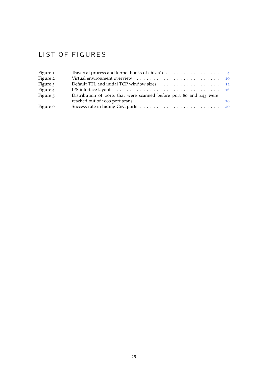## LIST OF FIGURES

| Figure 1 | Traversal process and kernel hooks of ebtables $\ldots \ldots \ldots \ldots$ |  |
|----------|------------------------------------------------------------------------------|--|
| Figure 2 |                                                                              |  |
| Figure 3 |                                                                              |  |
| Figure 4 |                                                                              |  |
| Figure 5 | Distribution of ports that were scanned before port 80 and 443 were          |  |
|          |                                                                              |  |
| Figure 6 |                                                                              |  |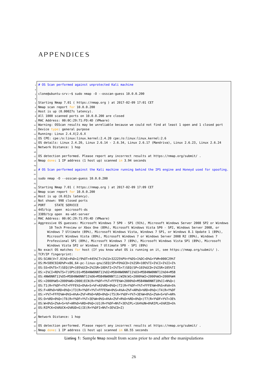## A P P E N D I C E S

```
# OS Scan performed against unprotected Kali machine
 2
  3 clone@ubuntu-srv:~$ sudo nmap -O --osscan-guess 10.0.0.200
 4
  5 Starting Nmap 7.01 ( https://nmap.org ) at 2017-02-09 17:01 CET
  Nmap scan report for 10.0.0.200
  Host is up (0.00027s latency).
  8 All 1000 scanned ports on 10.0.0.200 are closed
  9 MAC Address: 00:0C:29:71:FD:4D (VMware)
  Warning: OSScan results may be unreliable because we could not find at least 1 open and 1 closed port
  Device type: general purpose
_{12} Running: Linux 2.4.X|2.6.X
_{13} OS CPE: cpe:/o:linux:linux_kernel:2.4.20 cpe:/o:linux:linux_kernel:2.6
  14 OS details: Linux 2.4.20, Linux 2.6.14 - 2.6.34, Linux 2.6.17 (Mandriva), Linux 2.6.23, Linux 2.6.24
  Network Distance: 1 hop
16
17/10S detection performed. Please report any incorrect results at https://nmap.org/submit/.
18 Nmap done: 1 IP address (1 host up) scanned in 3.94 seconds
19
<sup>20</sup> # OS Scan performed against the Kali machine running behind the IPS engine and Honeyd used for spoofing.
\overline{2}_{22} sudo nmap -0 --osscan-guess 10.0.0.200
2_{24} Starting Nmap 7.01 ( https://nmap.org ) at 2017-02-09 17:09 CET
_{25} Nmap scan report for 10.0.0.200
  Host is up (0.012s latency).
27 Not shown: 998 closed ports
  PORT STATE SERVICE
_{29} 445/tcp open microsoft-ds
30 3389/tcp open ms-wbt-server
_{31} MAC Address: 00:0C:29:71:FD:4D (VMware)
32 Aggressive OS guesses: Microsoft Windows 7 SP0 - SP1 (91%), Microsoft Windows Server 2008 SP2 or Windows
        10 Tech Preview or Xbox One (89%), Microsoft Windows Vista SP0 - SP2, Windows Server 2008, or
       Windows 7 Ultimate (89%), Microsoft Windows Vista, Windows 7 SP1, or Windows 8.1 Update 1 (89%),
       Microsoft Windows Vista (89%), Microsoft Windows 7 or Windows Server 2008 R2 (89%), Windows 7
       Professional SP1 (89%), Microsoft Windows 7 (89%), Microsoft Windows Vista SP1 (89%), Microsoft
       Windows Vista SP2 or Windows 7 Ultimate SP0 - SP1 (89%)
_{33} No exact OS matches for host (If you know what OS is running on it, see https://nmap.org/submit/ ).
_{34} TCP/IP fingerprint:
35 OS:SCAN(V=7.01%E=4%D=2/9%OT=445%CT=1%CU=32225%PV=Y%DS=1%DC=D%G=Y%M=000C29%T
  \mid OS:M=589C92AD%P=x86_64-pc-linux-gnu)SEQ(SP=FD%GCD=1%ISR=10E%TI=I%CI=I%II=I%
37 OS:SS=O%TS=7)SEQ(SP=105%GCD=2%ISR=10D%TI=I%TS=7)SEQ(SP=103%GCD=1%ISR=105%TI
38 OS:=I%CI=RD%TS=7)OPS(O1=M5B4NW0NNT11%O2=M5B4NW0NNT11%O3=M5B4NW0NNT11%O4=M5B
_{39} OS:4NW0NNT11%O5=M5B4NW0NNT11%O6=M5B4NW0NNT11)WIN(W1=2000%W2=2000%W3=2000%W4
40 OS:=2000%W5=2000%W6=2000)ECN(R=Y%DF=Y%T=FFFE%W=2000%O=M5B4NW0NNT10%CC=N%Q=)
41 OS:T1(R=Y%DF=Y%T=FFFE%S=O%A=S+%F=AS%RD=0%Q=)T2(R=Y%DF=Y%T=FFFE%W=0%S=A%A=S%
42 OS:F=AR%O=%RD=0%Q=)T3(R=Y%DF=Y%T=FFFE%W=0%S=A%A=Z%F=AR%O=%RD=0%Q=)T4(R=Y%DF
_{43} | OS:=Y%T=FFFE%W=0%S=A%A=Z%F=R%O=%RD=0%Q=)T5(R=Y%DF=Y%T=3E%W=0%S=Z%A=S+%F=AR%
44 OS:O=%RD=0%Q=)T6(R=Y%DF=Y%T=3E%W=0%S=A%A=Z%F=R%O=%RD=0%Q=)T7(R=Y%DF=Y%T=3E%
45 OS:W=0%S=Z%A=S+%F=AR%O=%RD=0%Q=)U1(R=Y%DF=N%T=3E%IPL=164%UN=0%RIPL=G%RID=G%
_{46} OS: RIPCK=G%RUCK=G%RUD=G)IE(R=Y%DFI=N%T=3E%CD=Z)
47
48 Network Distance: 1 hop
49
  0S detection performed. Please report any incorrect results at https://nmap.org/submit/.
  Nmap done: 1 IP address (1 host up) scanned in 68.55 seconds
```
**Listing 1:** Sample Nmap result from scans prior to and after the manipulations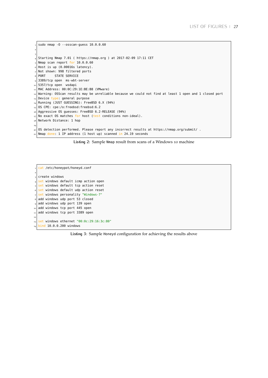```
sudo nmap -0 --osscan-guess 10.0.0.60
2
3
 \vert Starting Nmap 7.01 ( https://nmap.org ) at 2017-02-09 17:11 CET
 Nmap scan report for 10.0.0.60
 Host is up (0.00016s latency).
 Not shown: 998 filtered ports
 PORT STATE SERVICE
 3389/tcp open ms-wbt-server
_{10} 5357/tcp open wsdapi
11 MAC Address: 00:0C:29:1E:BE:B8 (VMware)
12 Warning: OSScan results may be unreliable because we could not find at least 1 open and 1 closed port
_{13} Device type: general purpose
_{14} Running (JUST GUESSING): FreeBSD 6.X (94%)
15 OS CPE: cpe:/o:freebsd:freebsd:6.2
16 Aggressive OS guesses: FreeBSD 6.2-RELEASE (94%)
17 No exact OS matches for host (test conditions non-ideal).
18 Network Distance: 1 hop
19
20 OS detection performed. Please report any incorrect results at https://nmap.org/submit/ .
_{21} Nmap done: 1 IP address (1 host up) scanned in 24.19 seconds
```
**Listing 2:** Sample Nmap result from scans of a Windows 10 machine

<span id="page-28-0"></span>cat /etc/honeypot/honeyd.conf 2 create windows set windows default icmp action open set windows default tcp action reset  $\overline{\phantom{a}}$  set windows default udp action reset set windows personality "Windows-7" add windows udp port 53 closed add windows udp port 139 open  $\vert$  add windows tcp port 445 open  $11$  add windows tcp port 3389 open 12 13 set windows ethernet "00:0c:29:16:3c:80" 14 bind 10.0.0.200 windows

**Listing 3:** Sample Honeyd configuration for achieving the results above